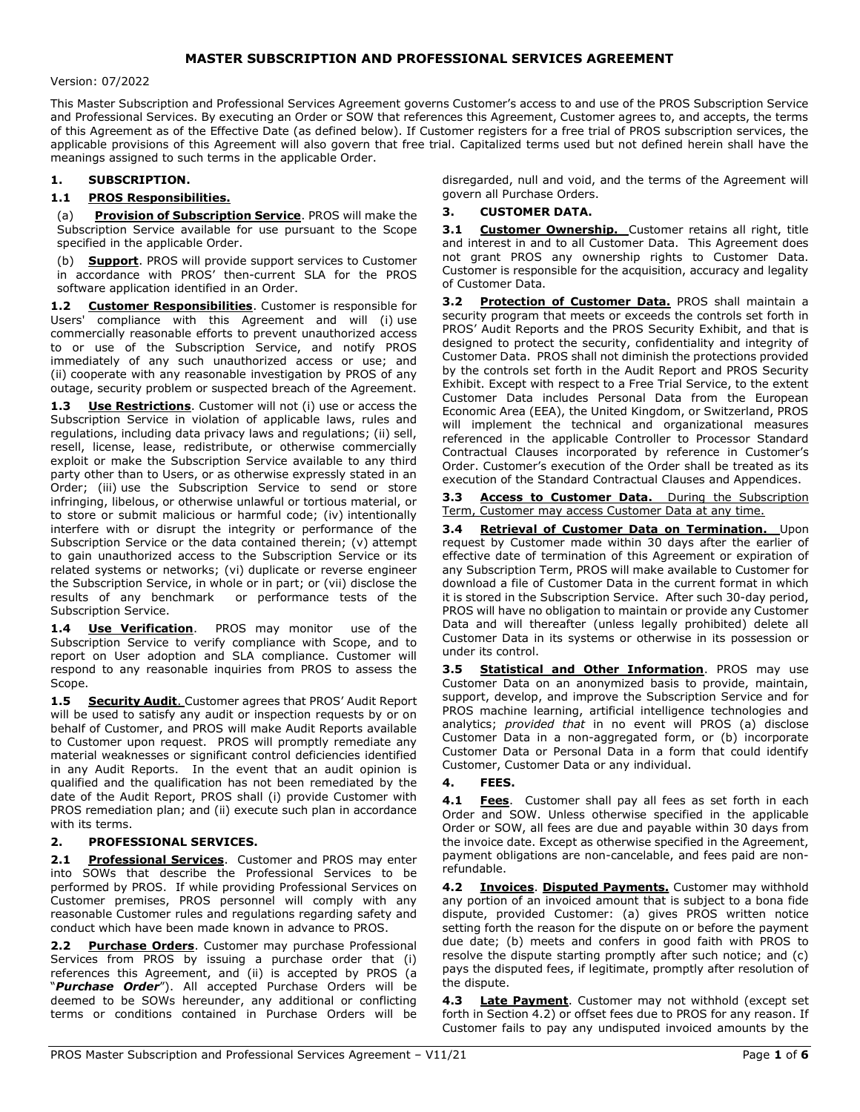# MASTER SUBSCRIPTION AND PROFESSIONAL SERVICES AGREEMENT

#### Version: 07/2022

This Master Subscription and Professional Services Agreement governs Customer's access to and use of the PROS Subscription Service and Professional Services. By executing an Order or SOW that references this Agreement, Customer agrees to, and accepts, the terms of this Agreement as of the Effective Date (as defined below). If Customer registers for a free trial of PROS subscription services, the applicable provisions of this Agreement will also govern that free trial. Capitalized terms used but not defined herein shall have the meanings assigned to such terms in the applicable Order.

### 1. SUBSCRIPTION.

### 1.1 PROS Responsibilities.

(a) Provision of Subscription Service. PROS will make the Subscription Service available for use pursuant to the Scope specified in the applicable Order.

(b) **Support**. PROS will provide support services to Customer in accordance with PROS' then-current SLA for the PROS software application identified in an Order.

1.2 Customer Responsibilities. Customer is responsible for Users' compliance with this Agreement and will (i) use commercially reasonable efforts to prevent unauthorized access to or use of the Subscription Service, and notify PROS immediately of any such unauthorized access or use; and (ii) cooperate with any reasonable investigation by PROS of any outage, security problem or suspected breach of the Agreement.

1.3 Use Restrictions. Customer will not (i) use or access the Subscription Service in violation of applicable laws, rules and regulations, including data privacy laws and regulations; (ii) sell, resell, license, lease, redistribute, or otherwise commercially exploit or make the Subscription Service available to any third party other than to Users, or as otherwise expressly stated in an Order; (iii) use the Subscription Service to send or store infringing, libelous, or otherwise unlawful or tortious material, or to store or submit malicious or harmful code; (iv) intentionally interfere with or disrupt the integrity or performance of the Subscription Service or the data contained therein; (v) attempt to gain unauthorized access to the Subscription Service or its related systems or networks; (vi) duplicate or reverse engineer the Subscription Service, in whole or in part; or (vii) disclose the results of any benchmark or performance tests of the Subscription Service.

1.4 Use Verification. PROS may monitor use of the Subscription Service to verify compliance with Scope, and to report on User adoption and SLA compliance. Customer will respond to any reasonable inquiries from PROS to assess the Scope.

1.5 Security Audit. Customer agrees that PROS' Audit Report will be used to satisfy any audit or inspection requests by or on behalf of Customer, and PROS will make Audit Reports available to Customer upon request. PROS will promptly remediate any material weaknesses or significant control deficiencies identified in any Audit Reports. In the event that an audit opinion is qualified and the qualification has not been remediated by the date of the Audit Report, PROS shall (i) provide Customer with PROS remediation plan; and (ii) execute such plan in accordance with its terms.

### 2. PROFESSIONAL SERVICES.

2.1 Professional Services. Customer and PROS may enter into SOWs that describe the Professional Services to be performed by PROS. If while providing Professional Services on Customer premises, PROS personnel will comply with any reasonable Customer rules and regulations regarding safety and conduct which have been made known in advance to PROS.

**Purchase Orders.** Customer may purchase Professional Services from PROS by issuing a purchase order that (i) references this Agreement, and (ii) is accepted by PROS (a "Purchase Order"). All accepted Purchase Orders will be deemed to be SOWs hereunder, any additional or conflicting terms or conditions contained in Purchase Orders will be disregarded, null and void, and the terms of the Agreement will govern all Purchase Orders.

#### 3. CUSTOMER DATA.

3.1 Customer Ownership. Customer retains all right, title and interest in and to all Customer Data. This Agreement does not grant PROS any ownership rights to Customer Data. Customer is responsible for the acquisition, accuracy and legality of Customer Data.

3.2 Protection of Customer Data. PROS shall maintain a security program that meets or exceeds the controls set forth in PROS' Audit Reports and the PROS Security Exhibit, and that is designed to protect the security, confidentiality and integrity of Customer Data. PROS shall not diminish the protections provided by the controls set forth in the Audit Report and PROS Security Exhibit. Except with respect to a Free Trial Service, to the extent Customer Data includes Personal Data from the European Economic Area (EEA), the United Kingdom, or Switzerland, PROS will implement the technical and organizational measures referenced in the applicable Controller to Processor Standard Contractual Clauses incorporated by reference in Customer's Order. Customer's execution of the Order shall be treated as its execution of the Standard Contractual Clauses and Appendices.

3.3 Access to Customer Data. During the Subscription Term, Customer may access Customer Data at any time.

3.4 Retrieval of Customer Data on Termination. Upon request by Customer made within 30 days after the earlier of effective date of termination of this Agreement or expiration of any Subscription Term, PROS will make available to Customer for download a file of Customer Data in the current format in which it is stored in the Subscription Service. After such 30-day period, PROS will have no obligation to maintain or provide any Customer Data and will thereafter (unless legally prohibited) delete all Customer Data in its systems or otherwise in its possession or under its control.

3.5 **Statistical and Other Information**. PROS may use Customer Data on an anonymized basis to provide, maintain, support, develop, and improve the Subscription Service and for PROS machine learning, artificial intelligence technologies and analytics; provided that in no event will PROS (a) disclose Customer Data in a non-aggregated form, or (b) incorporate Customer Data or Personal Data in a form that could identify Customer, Customer Data or any individual.

#### 4. FEES.

4.1 Fees. Customer shall pay all fees as set forth in each Order and SOW. Unless otherwise specified in the applicable Order or SOW, all fees are due and payable within 30 days from the invoice date. Except as otherwise specified in the Agreement, payment obligations are non-cancelable, and fees paid are nonrefundable.

4.2 Invoices. Disputed Payments. Customer may withhold any portion of an invoiced amount that is subject to a bona fide dispute, provided Customer: (a) gives PROS written notice setting forth the reason for the dispute on or before the payment due date; (b) meets and confers in good faith with PROS to resolve the dispute starting promptly after such notice; and (c) pays the disputed fees, if legitimate, promptly after resolution of the dispute.

4.3 Late Payment. Customer may not withhold (except set forth in Section 4.2) or offset fees due to PROS for any reason. If Customer fails to pay any undisputed invoiced amounts by the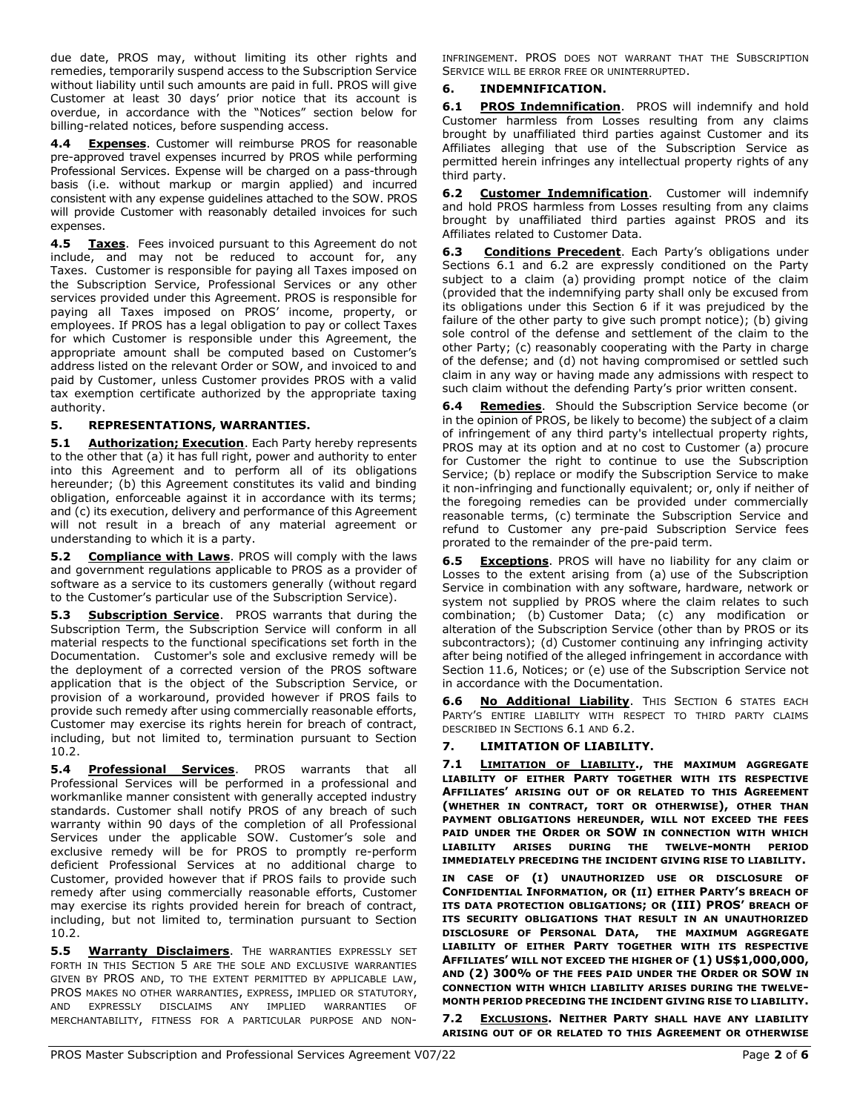due date, PROS may, without limiting its other rights and remedies, temporarily suspend access to the Subscription Service without liability until such amounts are paid in full. PROS will give Customer at least 30 days' prior notice that its account is overdue, in accordance with the "Notices" section below for billing-related notices, before suspending access.

4.4 Expenses. Customer will reimburse PROS for reasonable pre-approved travel expenses incurred by PROS while performing Professional Services. Expense will be charged on a pass-through basis (i.e. without markup or margin applied) and incurred consistent with any expense guidelines attached to the SOW. PROS will provide Customer with reasonably detailed invoices for such expenses.

4.5 Taxes. Fees invoiced pursuant to this Agreement do not include, and may not be reduced to account for, any Taxes. Customer is responsible for paying all Taxes imposed on the Subscription Service, Professional Services or any other services provided under this Agreement. PROS is responsible for paying all Taxes imposed on PROS' income, property, or employees. If PROS has a legal obligation to pay or collect Taxes for which Customer is responsible under this Agreement, the appropriate amount shall be computed based on Customer's address listed on the relevant Order or SOW, and invoiced to and paid by Customer, unless Customer provides PROS with a valid tax exemption certificate authorized by the appropriate taxing authority.

# 5. REPRESENTATIONS, WARRANTIES.

5.1 Authorization; Execution. Each Party hereby represents to the other that (a) it has full right, power and authority to enter into this Agreement and to perform all of its obligations hereunder; (b) this Agreement constitutes its valid and binding obligation, enforceable against it in accordance with its terms; and (c) its execution, delivery and performance of this Agreement will not result in a breach of any material agreement or understanding to which it is a party.

5.2 Compliance with Laws. PROS will comply with the laws and government regulations applicable to PROS as a provider of software as a service to its customers generally (without regard to the Customer's particular use of the Subscription Service).

5.3 Subscription Service. PROS warrants that during the Subscription Term, the Subscription Service will conform in all material respects to the functional specifications set forth in the Documentation. Customer's sole and exclusive remedy will be the deployment of a corrected version of the PROS software application that is the object of the Subscription Service, or provision of a workaround, provided however if PROS fails to provide such remedy after using commercially reasonable efforts, Customer may exercise its rights herein for breach of contract, including, but not limited to, termination pursuant to Section 10.2.

5.4 Professional Services. PROS warrants that all Professional Services will be performed in a professional and workmanlike manner consistent with generally accepted industry standards. Customer shall notify PROS of any breach of such warranty within 90 days of the completion of all Professional Services under the applicable SOW. Customer's sole and exclusive remedy will be for PROS to promptly re-perform deficient Professional Services at no additional charge to Customer, provided however that if PROS fails to provide such remedy after using commercially reasonable efforts, Customer may exercise its rights provided herein for breach of contract, including, but not limited to, termination pursuant to Section 10.2.

5.5 Warranty Disclaimers. THE WARRANTIES EXPRESSLY SET FORTH IN THIS SECTION 5 ARE THE SOLE AND EXCLUSIVE WARRANTIES GIVEN BY PROS AND, TO THE EXTENT PERMITTED BY APPLICABLE LAW, PROS MAKES NO OTHER WARRANTIES, EXPRESS, IMPLIED OR STATUTORY, AND EXPRESSLY DISCLAIMS ANY IMPLIED WARRANTIES OF MERCHANTABILITY, FITNESS FOR A PARTICULAR PURPOSE AND NON- INFRINGEMENT. PROS DOES NOT WARRANT THAT THE SUBSCRIPTION SERVICE WILL BE ERROR FREE OR UNINTERRUPTED.

# 6. INDEMNIFICATION.

6.1 PROS Indemnification. PROS will indemnify and hold Customer harmless from Losses resulting from any claims brought by unaffiliated third parties against Customer and its Affiliates alleging that use of the Subscription Service as permitted herein infringes any intellectual property rights of any third party.

6.2 Customer Indemnification. Customer will indemnify and hold PROS harmless from Losses resulting from any claims brought by unaffiliated third parties against PROS and its Affiliates related to Customer Data.

Conditions Precedent. Each Party's obligations under Sections 6.1 and 6.2 are expressly conditioned on the Party subject to a claim (a) providing prompt notice of the claim (provided that the indemnifying party shall only be excused from its obligations under this Section 6 if it was prejudiced by the failure of the other party to give such prompt notice); (b) giving sole control of the defense and settlement of the claim to the other Party; (c) reasonably cooperating with the Party in charge of the defense; and (d) not having compromised or settled such claim in any way or having made any admissions with respect to such claim without the defending Party's prior written consent.

6.4 Remedies. Should the Subscription Service become (or in the opinion of PROS, be likely to become) the subject of a claim of infringement of any third party's intellectual property rights, PROS may at its option and at no cost to Customer (a) procure for Customer the right to continue to use the Subscription Service; (b) replace or modify the Subscription Service to make it non-infringing and functionally equivalent; or, only if neither of the foregoing remedies can be provided under commercially reasonable terms, (c) terminate the Subscription Service and refund to Customer any pre-paid Subscription Service fees prorated to the remainder of the pre-paid term.

**6.5 Exceptions.** PROS will have no liability for any claim or Losses to the extent arising from (a) use of the Subscription Service in combination with any software, hardware, network or system not supplied by PROS where the claim relates to such combination; (b) Customer Data; (c) any modification or alteration of the Subscription Service (other than by PROS or its subcontractors); (d) Customer continuing any infringing activity after being notified of the alleged infringement in accordance with Section 11.6, Notices; or (e) use of the Subscription Service not in accordance with the Documentation.

6.6 No Additional Liability. THIS SECTION 6 STATES EACH PARTY'S ENTIRE LIABILITY WITH RESPECT TO THIRD PARTY CLAIMS DESCRIBED IN SECTIONS 6.1 AND 6.2.

# 7. LIMITATION OF LIABILITY.

7.1 **LIMITATION OF LIABILITY.**, THE MAXIMUM AGGREGATE LIABILITY OF EITHER PARTY TOGETHER WITH ITS RESPECTIVE AFFILIATES' ARISING OUT OF OR RELATED TO THIS AGREEMENT (WHETHER IN CONTRACT, TORT OR OTHERWISE), OTHER THAN PAYMENT OBLIGATIONS HEREUNDER, WILL NOT EXCEED THE FEES PAID UNDER THE ORDER OR SOW IN CONNECTION WITH WHICH LIABILITY ARISES DURING THE TWELVE-MONTH PERIOD IMMEDIATELY PRECEDING THE INCIDENT GIVING RISE TO LIABILITY.

IN CASE OF (I) UNAUTHORIZED USE OR DISCLOSURE OF CONFIDENTIAL INFORMATION, OR (II) EITHER PARTY'S BREACH OF ITS DATA PROTECTION OBLIGATIONS; OR (III) PROS' BREACH OF ITS SECURITY OBLIGATIONS THAT RESULT IN AN UNAUTHORIZED DISCLOSURE OF PERSONAL DATA, THE MAXIMUM AGGREGATE LIABILITY OF EITHER PARTY TOGETHER WITH ITS RESPECTIVE AFFILIATES' WILL NOT EXCEED THE HIGHER OF (1) US\$1,000,000, AND (2) 300% OF THE FEES PAID UNDER THE ORDER OR SOW IN CONNECTION WITH WHICH LIABILITY ARISES DURING THE TWELVE-MONTH PERIOD PRECEDING THE INCIDENT GIVING RISE TO LIABILITY.

7.2 EXCLUSIONS. NEITHER PARTY SHALL HAVE ANY LIABILITY ARISING OUT OF OR RELATED TO THIS AGREEMENT OR OTHERWISE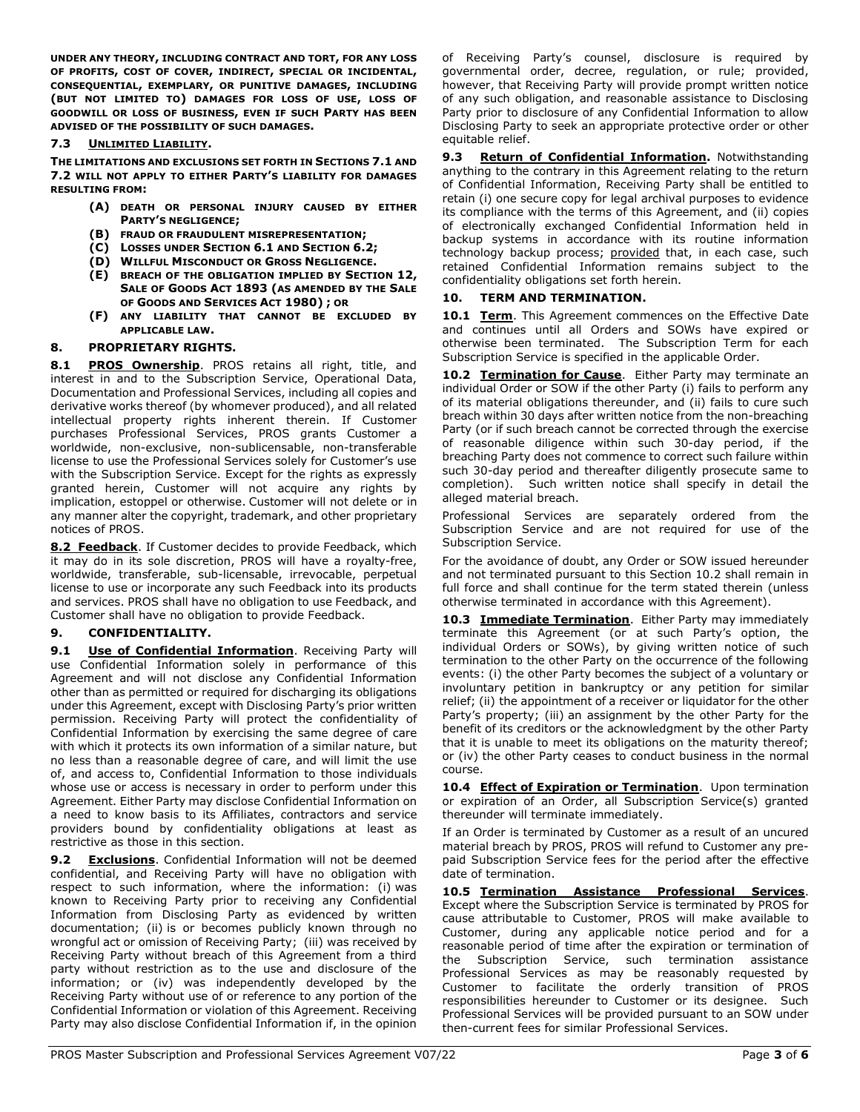UNDER ANY THEORY, INCLUDING CONTRACT AND TORT, FOR ANY LOSS OF PROFITS, COST OF COVER, INDIRECT, SPECIAL OR INCIDENTAL, CONSEQUENTIAL, EXEMPLARY, OR PUNITIVE DAMAGES, INCLUDING (BUT NOT LIMITED TO) DAMAGES FOR LOSS OF USE, LOSS OF GOODWILL OR LOSS OF BUSINESS, EVEN IF SUCH PARTY HAS BEEN ADVISED OF THE POSSIBILITY OF SUCH DAMAGES.

### 7.3 UNLIMITED LIABILITY.

THE LIMITATIONS AND EXCLUSIONS SET FORTH IN SECTIONS 7.1 AND 7.2 WILL NOT APPLY TO EITHER PARTY'S LIABILITY FOR DAMAGES RESULTING FROM:

- (A) DEATH OR PERSONAL INJURY CAUSED BY EITHER PARTY'S NEGLIGENCE;
- (B) FRAUD OR FRAUDULENT MISREPRESENTATION;
- (C) LOSSES UNDER SECTION 6.1 AND SECTION 6.2;
- (D) WILLFUL MISCONDUCT OR GROSS NEGLIGENCE.
- (E) BREACH OF THE OBLIGATION IMPLIED BY SECTION 12, SALE OF GOODS ACT 1893 (AS AMENDED BY THE SALE OF GOODS AND SERVICES ACT 1980) ; OR
- (F) ANY LIABILITY THAT CANNOT BE EXCLUDED BY APPLICABLE LAW.

#### 8. PROPRIETARY RIGHTS.

8.1 PROS Ownership. PROS retains all right, title, and interest in and to the Subscription Service, Operational Data, Documentation and Professional Services, including all copies and derivative works thereof (by whomever produced), and all related intellectual property rights inherent therein. If Customer purchases Professional Services, PROS grants Customer a worldwide, non-exclusive, non-sublicensable, non-transferable license to use the Professional Services solely for Customer's use with the Subscription Service. Except for the rights as expressly granted herein, Customer will not acquire any rights by implication, estoppel or otherwise. Customer will not delete or in any manner alter the copyright, trademark, and other proprietary notices of PROS.

8.2 Feedback. If Customer decides to provide Feedback, which it may do in its sole discretion, PROS will have a royalty-free, worldwide, transferable, sub-licensable, irrevocable, perpetual license to use or incorporate any such Feedback into its products and services. PROS shall have no obligation to use Feedback, and Customer shall have no obligation to provide Feedback.

# 9. CONFIDENTIALITY.

9.1 Use of Confidential Information. Receiving Party will use Confidential Information solely in performance of this Agreement and will not disclose any Confidential Information other than as permitted or required for discharging its obligations under this Agreement, except with Disclosing Party's prior written permission. Receiving Party will protect the confidentiality of Confidential Information by exercising the same degree of care with which it protects its own information of a similar nature, but no less than a reasonable degree of care, and will limit the use of, and access to, Confidential Information to those individuals whose use or access is necessary in order to perform under this Agreement. Either Party may disclose Confidential Information on a need to know basis to its Affiliates, contractors and service providers bound by confidentiality obligations at least as restrictive as those in this section.

**9.2 Exclusions.** Confidential Information will not be deemed confidential, and Receiving Party will have no obligation with respect to such information, where the information: (i) was known to Receiving Party prior to receiving any Confidential Information from Disclosing Party as evidenced by written documentation; (ii) is or becomes publicly known through no wrongful act or omission of Receiving Party; (iii) was received by Receiving Party without breach of this Agreement from a third party without restriction as to the use and disclosure of the information; or (iv) was independently developed by the Receiving Party without use of or reference to any portion of the Confidential Information or violation of this Agreement. Receiving Party may also disclose Confidential Information if, in the opinion

of Receiving Party's counsel, disclosure is required by governmental order, decree, regulation, or rule; provided, however, that Receiving Party will provide prompt written notice of any such obligation, and reasonable assistance to Disclosing Party prior to disclosure of any Confidential Information to allow Disclosing Party to seek an appropriate protective order or other equitable relief.

9.3 Return of Confidential Information. Notwithstanding anything to the contrary in this Agreement relating to the return of Confidential Information, Receiving Party shall be entitled to retain (i) one secure copy for legal archival purposes to evidence its compliance with the terms of this Agreement, and (ii) copies of electronically exchanged Confidential Information held in backup systems in accordance with its routine information technology backup process; provided that, in each case, such retained Confidential Information remains subject to the confidentiality obligations set forth herein.

### 10. TERM AND TERMINATION.

10.1 Term. This Agreement commences on the Effective Date and continues until all Orders and SOWs have expired or otherwise been terminated. The Subscription Term for each Subscription Service is specified in the applicable Order.

10.2 Termination for Cause. Either Party may terminate an individual Order or SOW if the other Party (i) fails to perform any of its material obligations thereunder, and (ii) fails to cure such breach within 30 days after written notice from the non-breaching Party (or if such breach cannot be corrected through the exercise of reasonable diligence within such 30-day period, if the breaching Party does not commence to correct such failure within such 30-day period and thereafter diligently prosecute same to completion). Such written notice shall specify in detail the alleged material breach.

Professional Services are separately ordered from the Subscription Service and are not required for use of the Subscription Service.

For the avoidance of doubt, any Order or SOW issued hereunder and not terminated pursuant to this Section 10.2 shall remain in full force and shall continue for the term stated therein (unless otherwise terminated in accordance with this Agreement).

10.3 **Immediate Termination**. Either Party may immediately terminate this Agreement (or at such Party's option, the individual Orders or SOWs), by giving written notice of such termination to the other Party on the occurrence of the following events: (i) the other Party becomes the subject of a voluntary or involuntary petition in bankruptcy or any petition for similar relief; (ii) the appointment of a receiver or liquidator for the other Party's property; (iii) an assignment by the other Party for the benefit of its creditors or the acknowledgment by the other Party that it is unable to meet its obligations on the maturity thereof; or (iv) the other Party ceases to conduct business in the normal course.

10.4 **Effect of Expiration or Termination**. Upon termination or expiration of an Order, all Subscription Service(s) granted thereunder will terminate immediately.

If an Order is terminated by Customer as a result of an uncured material breach by PROS, PROS will refund to Customer any prepaid Subscription Service fees for the period after the effective date of termination.

10.5 Termination Assistance Professional Services. Except where the Subscription Service is terminated by PROS for cause attributable to Customer, PROS will make available to Customer, during any applicable notice period and for a reasonable period of time after the expiration or termination of the Subscription Service, such termination assistance Professional Services as may be reasonably requested by Customer to facilitate the orderly transition of PROS responsibilities hereunder to Customer or its designee. Such Professional Services will be provided pursuant to an SOW under then-current fees for similar Professional Services.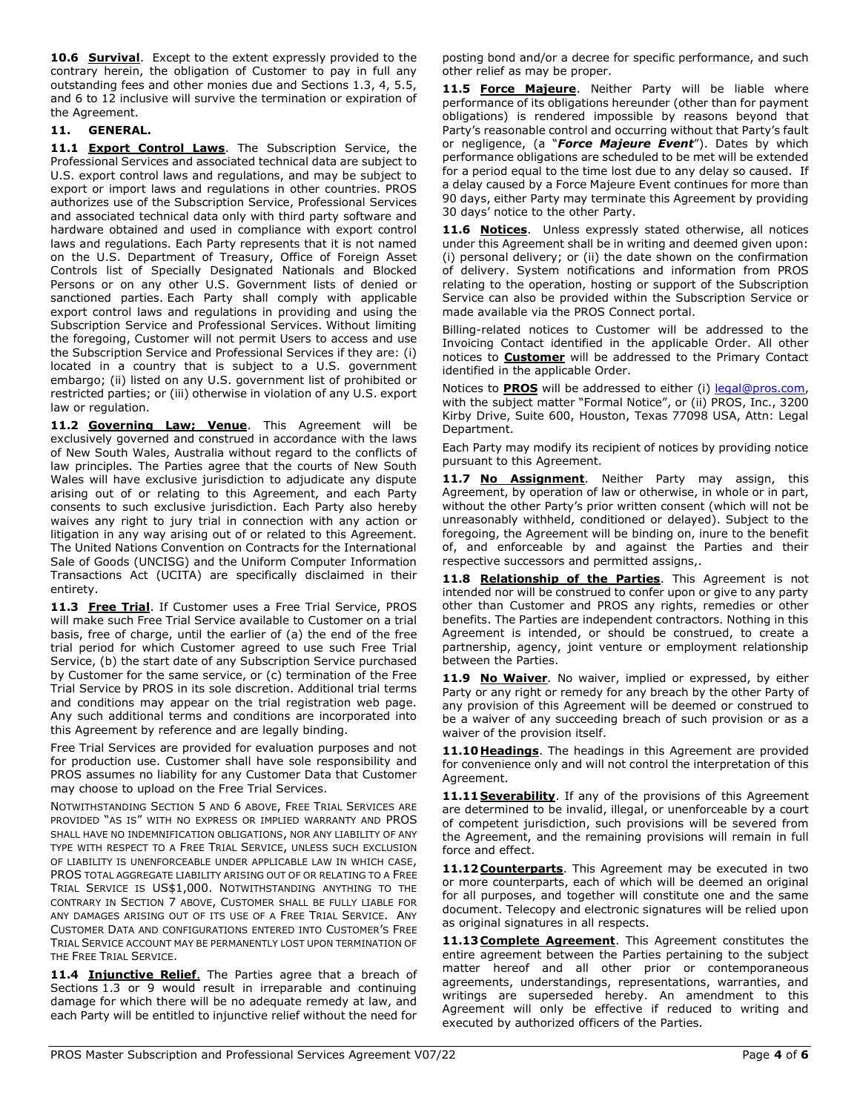**10.6 Survival.** Except to the extent expressly provided to the contrary herein, the obligation of Customer to pay in full any outstanding fees and other monies due and Sections 1.3, 4, 5.5, and 6 to 12 inclusive will survive the termination or expiration of the Agreement.

# 11. GENERAL.

11.1 **Export Control Laws**. The Subscription Service, the Professional Services and associated technical data are subject to U.S. export control laws and regulations, and may be subject to export or import laws and regulations in other countries. PROS authorizes use of the Subscription Service, Professional Services and associated technical data only with third party software and hardware obtained and used in compliance with export control laws and regulations. Each Party represents that it is not named on the U.S. Department of Treasury, Office of Foreign Asset Controls list of Specially Designated Nationals and Blocked Persons or on any other U.S. Government lists of denied or sanctioned parties. Each Party shall comply with applicable export control laws and regulations in providing and using the Subscription Service and Professional Services. Without limiting the foregoing, Customer will not permit Users to access and use the Subscription Service and Professional Services if they are: (i) located in a country that is subject to a U.S. government embargo; (ii) listed on any U.S. government list of prohibited or restricted parties; or (iii) otherwise in violation of any U.S. export law or regulation.

11.2 Governing Law; Venue. This Agreement will be exclusively governed and construed in accordance with the laws of New South Wales, Australia without regard to the conflicts of law principles. The Parties agree that the courts of New South Wales will have exclusive jurisdiction to adjudicate any dispute arising out of or relating to this Agreement, and each Party consents to such exclusive jurisdiction. Each Party also hereby waives any right to jury trial in connection with any action or litigation in any way arising out of or related to this Agreement. The United Nations Convention on Contracts for the International Sale of Goods (UNCISG) and the Uniform Computer Information Transactions Act (UCITA) are specifically disclaimed in their entirety.

11.3 Free Trial. If Customer uses a Free Trial Service, PROS will make such Free Trial Service available to Customer on a trial basis, free of charge, until the earlier of (a) the end of the free trial period for which Customer agreed to use such Free Trial Service, (b) the start date of any Subscription Service purchased by Customer for the same service, or (c) termination of the Free Trial Service by PROS in its sole discretion. Additional trial terms and conditions may appear on the trial registration web page. Any such additional terms and conditions are incorporated into this Agreement by reference and are legally binding.

Free Trial Services are provided for evaluation purposes and not for production use. Customer shall have sole responsibility and PROS assumes no liability for any Customer Data that Customer may choose to upload on the Free Trial Services.

NOTWITHSTANDING SECTION 5 AND 6 ABOVE, FREE TRIAL SERVICES ARE PROVIDED "AS IS" WITH NO EXPRESS OR IMPLIED WARRANTY AND PROS SHALL HAVE NO INDEMNIFICATION OBLIGATIONS, NOR ANY LIABILITY OF ANY TYPE WITH RESPECT TO A FREE TRIAL SERVICE, UNLESS SUCH EXCLUSION OF LIABILITY IS UNENFORCEABLE UNDER APPLICABLE LAW IN WHICH CASE, PROS TOTAL AGGREGATE LIABILITY ARISING OUT OF OR RELATING TO A FREE TRIAL SERVICE IS US\$1,000. NOTWITHSTANDING ANYTHING TO THE CONTRARY IN SECTION 7 ABOVE, CUSTOMER SHALL BE FULLY LIABLE FOR ANY DAMAGES ARISING OUT OF ITS USE OF A FREE TRIAL SERVICE. ANY CUSTOMER DATA AND CONFIGURATIONS ENTERED INTO CUSTOMER'S FREE TRIAL SERVICE ACCOUNT MAY BE PERMANENTLY LOST UPON TERMINATION OF THE FREE TRIAL SERVICE.

11.4 Injunctive Relief. The Parties agree that a breach of Sections 1.3 or 9 would result in irreparable and continuing damage for which there will be no adequate remedy at law, and each Party will be entitled to injunctive relief without the need for posting bond and/or a decree for specific performance, and such other relief as may be proper.

11.5 Force Majeure. Neither Party will be liable where performance of its obligations hereunder (other than for payment obligations) is rendered impossible by reasons beyond that Party's reasonable control and occurring without that Party's fault or negligence, (a "Force Majeure Event"). Dates by which performance obligations are scheduled to be met will be extended for a period equal to the time lost due to any delay so caused. If a delay caused by a Force Majeure Event continues for more than 90 days, either Party may terminate this Agreement by providing 30 days' notice to the other Party.

11.6 Notices. Unless expressly stated otherwise, all notices under this Agreement shall be in writing and deemed given upon: (i) personal delivery; or (ii) the date shown on the confirmation of delivery. System notifications and information from PROS relating to the operation, hosting or support of the Subscription Service can also be provided within the Subscription Service or made available via the PROS Connect portal.

Billing-related notices to Customer will be addressed to the Invoicing Contact identified in the applicable Order. All other notices to **Customer** will be addressed to the Primary Contact identified in the applicable Order.

Notices to **PROS** will be addressed to either (i) legal@pros.com, with the subject matter "Formal Notice", or (ii) PROS, Inc., 3200 Kirby Drive, Suite 600, Houston, Texas 77098 USA, Attn: Legal Department.

Each Party may modify its recipient of notices by providing notice pursuant to this Agreement.

11.7 No Assignment. Neither Party may assign, this Agreement, by operation of law or otherwise, in whole or in part, without the other Party's prior written consent (which will not be unreasonably withheld, conditioned or delayed). Subject to the foregoing, the Agreement will be binding on, inure to the benefit of, and enforceable by and against the Parties and their respective successors and permitted assigns,.

11.8 Relationship of the Parties. This Agreement is not intended nor will be construed to confer upon or give to any party other than Customer and PROS any rights, remedies or other benefits. The Parties are independent contractors. Nothing in this Agreement is intended, or should be construed, to create a partnership, agency, joint venture or employment relationship between the Parties.

11.9 No Waiver. No waiver, implied or expressed, by either Party or any right or remedy for any breach by the other Party of any provision of this Agreement will be deemed or construed to be a waiver of any succeeding breach of such provision or as a waiver of the provision itself.

11.10 Headings. The headings in this Agreement are provided for convenience only and will not control the interpretation of this Agreement.

11.11 Severability. If any of the provisions of this Agreement are determined to be invalid, illegal, or unenforceable by a court of competent jurisdiction, such provisions will be severed from the Agreement, and the remaining provisions will remain in full force and effect.

11.12 **Counterparts**. This Agreement may be executed in two or more counterparts, each of which will be deemed an original for all purposes, and together will constitute one and the same document. Telecopy and electronic signatures will be relied upon as original signatures in all respects.

11.13 Complete Agreement. This Agreement constitutes the entire agreement between the Parties pertaining to the subject matter hereof and all other prior or contemporaneous agreements, understandings, representations, warranties, and writings are superseded hereby. An amendment to this Agreement will only be effective if reduced to writing and executed by authorized officers of the Parties.